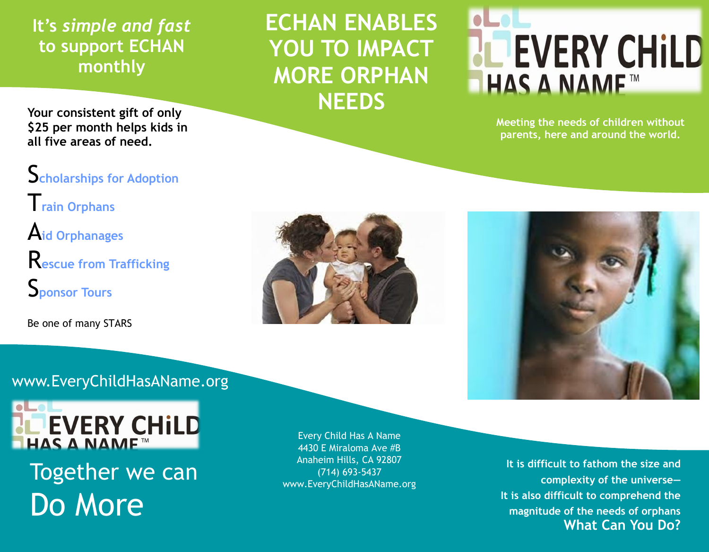## **It's** *simple and fast*  **to support ECHAN monthly**

**ECHAN ENABLES YOU TO IMPACT MORE ORPHAN NEEDS**

## **PEVERY CHILD** HAS A NAME™

**Meeting the needs of children without parents, here and around the world.**

**Your consistent gift of only \$25 per month helps kids in all five areas of need.**

S**cholarships for Adoption** T**rain Orphans** A**id Orphanages** R**escue from Trafficking**  S**ponsor Tours**

Be one of many STARS



www.EveryChildHasAName.org



Together we can Do More

Every Child Has A Name 4430 E Miraloma Ave #B Anaheim Hills, CA 92807 (714) 693-5437 www.EveryChildHasAName.org

**It is difficult to fathom the size and complexity of the universe— It is also difficult to comprehend the magnitude of the needs of orphans What Can You Do?**